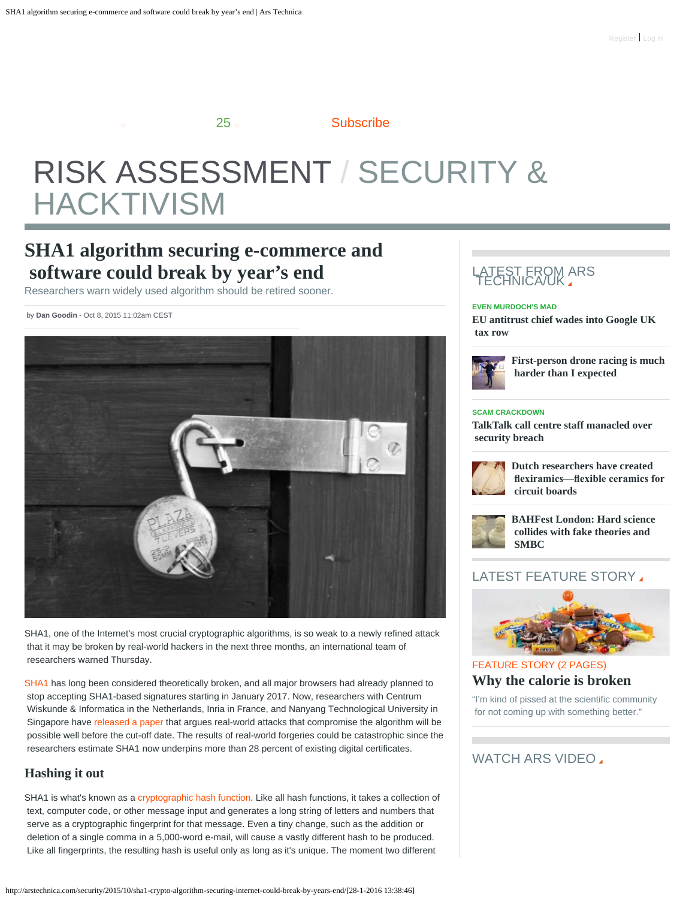25 [Subscribe](http://arstechnica.com/subscriptions/): 25

# <span id="page-0-0"></span>[RISK ASSESSMENT](http://arstechnica.com/security/) [/ SECURITY &](http://arstechnica.com/security/)  [HACKTIVISM](http://arstechnica.com/security/)

## **SHA1 algorithm securing e-commerce and software could break by year's end**

Researchers warn widely used algorithm should be retired sooner.

by **[Dan Goodin](http://arstechnica.com/author/dan-goodin/)** - Oct 8, 2015 11:02am CEST



SHA1, one of the Internet's most crucial cryptographic algorithms, is so weak to a newly refined attack that it may be broken by real-world hackers in the next three months, an international team of researchers warned Thursday.

[SHA1](https://en.wikipedia.org/wiki/SHA-1) has long been considered theoretically broken, and all major browsers had already planned to stop accepting SHA1-based signatures starting in January 2017. Now, researchers with Centrum Wiskunde & Informatica in the Netherlands, Inria in France, and Nanyang Technological University in Singapore have [released a paper](https://sites.google.com/site/itstheshappening/) that argues real-world attacks that compromise the algorithm will be possible well before the cut-off date. The results of real-world forgeries could be catastrophic since the researchers estimate SHA1 now underpins more than 28 percent of existing digital certificates.

### **Hashing it out**

SHA1 is what's known as a [cryptographic hash function](https://en.wikipedia.org/wiki/Cryptographic_hash_function). Like all hash functions, it takes a collection of text, computer code, or other message input and generates a long string of letters and numbers that serve as a cryptographic fingerprint for that message. Even a tiny change, such as the addition or deletion of a single comma in a 5,000-word e-mail, will cause a vastly different hash to be produced. Like all fingerprints, the resulting hash is useful only as long as it's unique. The moment two different

#### L<u>ATEST FROM</u> ARS TECHNICA/UK

#### **[EVEN MURDOCH'S MAD](http://arstechnica.co.uk/business/2016/01/eu-antitrust-chief-wades-into-google-uk-tax-row/)**

**[EU antitrust chief wades into Google UK](http://arstechnica.co.uk/business/2016/01/eu-antitrust-chief-wades-into-google-uk-tax-row/)  [tax row](http://arstechnica.co.uk/business/2016/01/eu-antitrust-chief-wades-into-google-uk-tax-row/)**



**[First-person drone racing is much](http://arstechnica.co.uk/gadgets/2016/01/first-person-drone-racing-is-much-harder-than-i-expected/)  [harder than I expected](http://arstechnica.co.uk/gadgets/2016/01/first-person-drone-racing-is-much-harder-than-i-expected/)**

#### **[SCAM CRACKDOWN](http://arstechnica.co.uk/tech-policy/2016/01/talktalk-call-centre-staff-manacled-over-security-breach/)**

**[TalkTalk call centre staff manacled over](http://arstechnica.co.uk/tech-policy/2016/01/talktalk-call-centre-staff-manacled-over-security-breach/)  [security breach](http://arstechnica.co.uk/tech-policy/2016/01/talktalk-call-centre-staff-manacled-over-security-breach/)**



**[Dutch researchers have created](http://arstechnica.co.uk/science/2016/01/dutch-researchers-have-created-flexiramics-flexible-ceramics-for-circuit-boards/)  [fexiramics—fexible ceramics for](http://arstechnica.co.uk/science/2016/01/dutch-researchers-have-created-flexiramics-flexible-ceramics-for-circuit-boards/)  [circuit boards](http://arstechnica.co.uk/science/2016/01/dutch-researchers-have-created-flexiramics-flexible-ceramics-for-circuit-boards/)**



**[BAHFest London: Hard science](http://arstechnica.co.uk/the-multiverse/2016/01/bahfest-london/)  [collides with fake theories and](http://arstechnica.co.uk/the-multiverse/2016/01/bahfest-london/)  [SMBC](http://arstechnica.co.uk/the-multiverse/2016/01/bahfest-london/)**

## LATEST FEATURE STORY.



[FEATURE STORY \(2 PAGES\)](http://arstechnica.com/science/2016/01/why-the-calorie-is-broken/) **[Why the calorie is broken](http://arstechnica.com/science/2016/01/why-the-calorie-is-broken/)**

"I'm kind of pissed at the scientific community for not coming up with something better."

#### WATCH ARS VIDEO.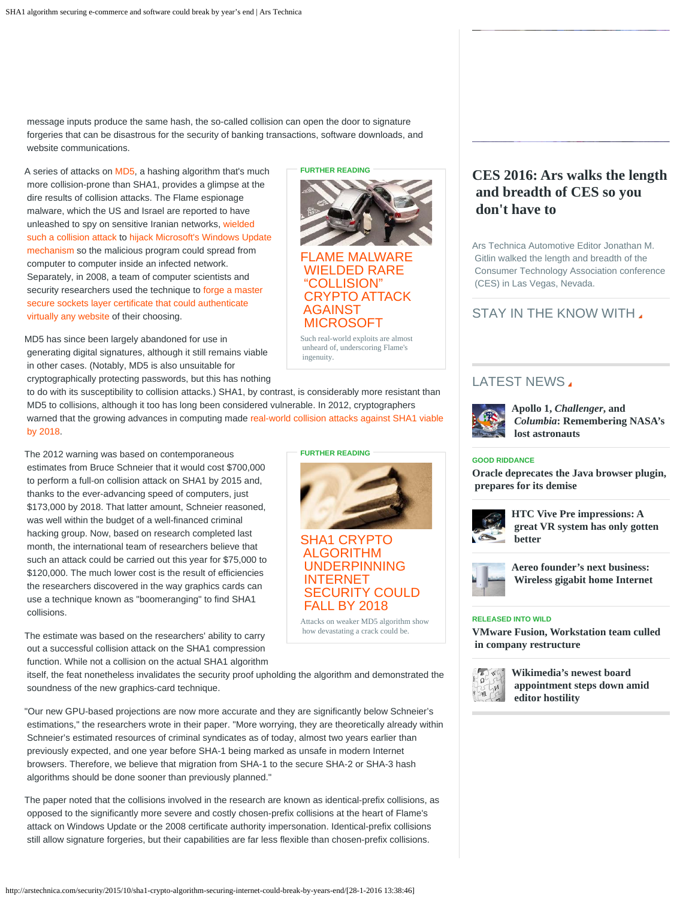message inputs produce the same hash, the so-called collision can open the door to signature forgeries that can be disastrous for the security of banking transactions, software downloads, and website communications.

A series of attacks on [MD5](http://en.wikipedia.org/wiki/MD5), a hashing algorithm that's much more collision-prone than SHA1, provides a glimpse at the dire results of collision attacks. The Flame espionage malware, which the US and Israel are reported to have unleashed to spy on sensitive Iranian networks, [wielded](http://arstechnica.com/security/2012/06/flame-wields-rare-collision-crypto-attack/)  [such a collision attack](http://arstechnica.com/security/2012/06/flame-wields-rare-collision-crypto-attack/) to [hijack Microsoft's Windows Update](http://arstechnica.com/security/2012/06/flame-malware-hijacks-windows-update-to-propogate/)  [mechanism](http://arstechnica.com/security/2012/06/flame-malware-hijacks-windows-update-to-propogate/) so the malicious program could spread from computer to computer inside an infected network. Separately, in 2008, a team of computer scientists and security researchers used the technique to [forge a master](http://www.theregister.co.uk/2008/12/30/ssl_spoofing/)  [secure sockets layer certificate that could authenticate](http://www.theregister.co.uk/2008/12/30/ssl_spoofing/)  [virtually any website](http://www.theregister.co.uk/2008/12/30/ssl_spoofing/) of their choosing.

MD5 has since been largely abandoned for use in generating digital signatures, although it still remains viable in other cases. (Notably, MD5 is also unsuitable for cryptographically protecting passwords, but this has nothing



 [WIELDED RARE](http://arstechnica.com/security/2012/06/flame-wields-rare-collision-crypto-attack/)  ["COLLISION"](http://arstechnica.com/security/2012/06/flame-wields-rare-collision-crypto-attack/)  [CRYPTO ATTACK](http://arstechnica.com/security/2012/06/flame-wields-rare-collision-crypto-attack/)  [AGAINST](http://arstechnica.com/security/2012/06/flame-wields-rare-collision-crypto-attack/)  [MICROSOFT](http://arstechnica.com/security/2012/06/flame-wields-rare-collision-crypto-attack/)

Such real-world exploits are almost unheard of, underscoring Flame's ingenuity.

[SHA1 CRYPTO](http://arstechnica.com/security/2012/10/sha1-crypto-algorithm-could-fall-by-2018/)  [ALGORITHM](http://arstechnica.com/security/2012/10/sha1-crypto-algorithm-could-fall-by-2018/)  [UNDERPINNING](http://arstechnica.com/security/2012/10/sha1-crypto-algorithm-could-fall-by-2018/)  [INTERNET](http://arstechnica.com/security/2012/10/sha1-crypto-algorithm-could-fall-by-2018/)

**FURTHER READING**

 [SECURITY COULD](http://arstechnica.com/security/2012/10/sha1-crypto-algorithm-could-fall-by-2018/)  [FALL BY 2018](http://arstechnica.com/security/2012/10/sha1-crypto-algorithm-could-fall-by-2018/)

Attacks on weaker MD5 algorithm show how devastating a crack could be.

 to do with its susceptibility to collision attacks.) SHA1, by contrast, is considerably more resistant than MD5 to collisions, although it too has long been considered vulnerable. In 2012, cryptographers warned that the growing advances in computing made [real-world collision attacks against SHA1 viable](http://arstechnica.com/security/2012/10/sha1-crypto-algorithm-could-fall-by-2018/)  [by 2018.](http://arstechnica.com/security/2012/10/sha1-crypto-algorithm-could-fall-by-2018/)

The 2012 warning was based on contemporaneous estimates from Bruce Schneier that it would cost \$700,000 to perform a full-on collision attack on SHA1 by 2015 and, thanks to the ever-advancing speed of computers, just \$173,000 by 2018. That latter amount, Schneier reasoned, was well within the budget of a well-financed criminal hacking group. Now, based on research completed last month, the international team of researchers believe that such an attack could be carried out this year for \$75,000 to \$120,000. The much lower cost is the result of efficiencies the researchers discovered in the way graphics cards can use a technique known as "boomeranging" to find SHA1 collisions.

The estimate was based on the researchers' ability to carry out a successful collision attack on the SHA1 compression function. While not a collision on the actual SHA1 algorithm

 itself, the feat nonetheless invalidates the security proof upholding the algorithm and demonstrated the soundness of the new graphics-card technique.

"Our new GPU-based projections are now more accurate and they are significantly below Schneier's estimations," the researchers wrote in their paper. "More worrying, they are theoretically already within Schneier's estimated resources of criminal syndicates as of today, almost two years earlier than previously expected, and one year before SHA-1 being marked as unsafe in modern Internet browsers. Therefore, we believe that migration from SHA-1 to the secure SHA-2 or SHA-3 hash algorithms should be done sooner than previously planned."

The paper noted that the collisions involved in the research are known as identical-prefix collisions, as opposed to the significantly more severe and costly chosen-prefix collisions at the heart of Flame's attack on Windows Update or the 2008 certificate authority impersonation. Identical-prefix collisions still allow signature forgeries, but their capabilities are far less flexible than chosen-prefix collisions.

## **[CES 2016: Ars walks the length](http://arstechnica.com/video/2016/01/ars-walks-the-length-and-breadth-of-ces-so-you-dont-have-to/)  [and breadth of CES so you](http://arstechnica.com/video/2016/01/ars-walks-the-length-and-breadth-of-ces-so-you-dont-have-to/)  [don't have to](http://arstechnica.com/video/2016/01/ars-walks-the-length-and-breadth-of-ces-so-you-dont-have-to/)**

Ars Technica Automotive Editor Jonathan M. Gitlin walked the length and breadth of the Consumer Technology Association conference (CES) in Las Vegas, Nevada.

## STAY IN THE KNOW WITH

## LATEST NEWS.



**[Apollo 1,](http://arstechnica.com/science/2016/01/apollo-1-challenger-and-columbia-remembering-nasas-lost-astronauts/)** *[Challenger](http://arstechnica.com/science/2016/01/apollo-1-challenger-and-columbia-remembering-nasas-lost-astronauts/)***[, and](http://arstechnica.com/science/2016/01/apollo-1-challenger-and-columbia-remembering-nasas-lost-astronauts/)** *[Columbia](http://arstechnica.com/science/2016/01/apollo-1-challenger-and-columbia-remembering-nasas-lost-astronauts/)***[: Remembering NASA's](http://arstechnica.com/science/2016/01/apollo-1-challenger-and-columbia-remembering-nasas-lost-astronauts/)  [lost astronauts](http://arstechnica.com/science/2016/01/apollo-1-challenger-and-columbia-remembering-nasas-lost-astronauts/)**

#### **[GOOD RIDDANCE](http://arstechnica.com/information-technology/2016/01/oracle-deprecates-the-java-browser-plugin-prepares-for-its-demise/)**

**[Oracle deprecates the Java browser plugin,](http://arstechnica.com/information-technology/2016/01/oracle-deprecates-the-java-browser-plugin-prepares-for-its-demise/)  [prepares for its demise](http://arstechnica.com/information-technology/2016/01/oracle-deprecates-the-java-browser-plugin-prepares-for-its-demise/)**



**[HTC Vive Pre impressions: A](http://arstechnica.com/gaming/2016/01/htc-vive-pre-impressions-a-great-vr-system-has-only-gotten-better/)  [great VR system has only gotten](http://arstechnica.com/gaming/2016/01/htc-vive-pre-impressions-a-great-vr-system-has-only-gotten-better/)  [better](http://arstechnica.com/gaming/2016/01/htc-vive-pre-impressions-a-great-vr-system-has-only-gotten-better/)**



**[Aereo founder's next business:](http://arstechnica.com/business/2016/01/aereo-founders-next-business-wireless-gigabit-home-internet/)  [Wireless gigabit home Internet](http://arstechnica.com/business/2016/01/aereo-founders-next-business-wireless-gigabit-home-internet/)**

#### **[RELEASED INTO WILD](http://arstechnica.com/information-technology/2016/01/vmware-fusion-workstation-team-culled-in-company-restructure/)**

**[VMware Fusion, Workstation team culled](http://arstechnica.com/information-technology/2016/01/vmware-fusion-workstation-team-culled-in-company-restructure/)  [in company restructure](http://arstechnica.com/information-technology/2016/01/vmware-fusion-workstation-team-culled-in-company-restructure/)**



**[Wikimedia's newest board](http://arstechnica.com/tech-policy/2016/01/wikimedias-newest-board-appointment-steps-down-amid-editor-hostility/)  [appointment steps down amid](http://arstechnica.com/tech-policy/2016/01/wikimedias-newest-board-appointment-steps-down-amid-editor-hostility/)  [editor hostility](http://arstechnica.com/tech-policy/2016/01/wikimedias-newest-board-appointment-steps-down-amid-editor-hostility/)**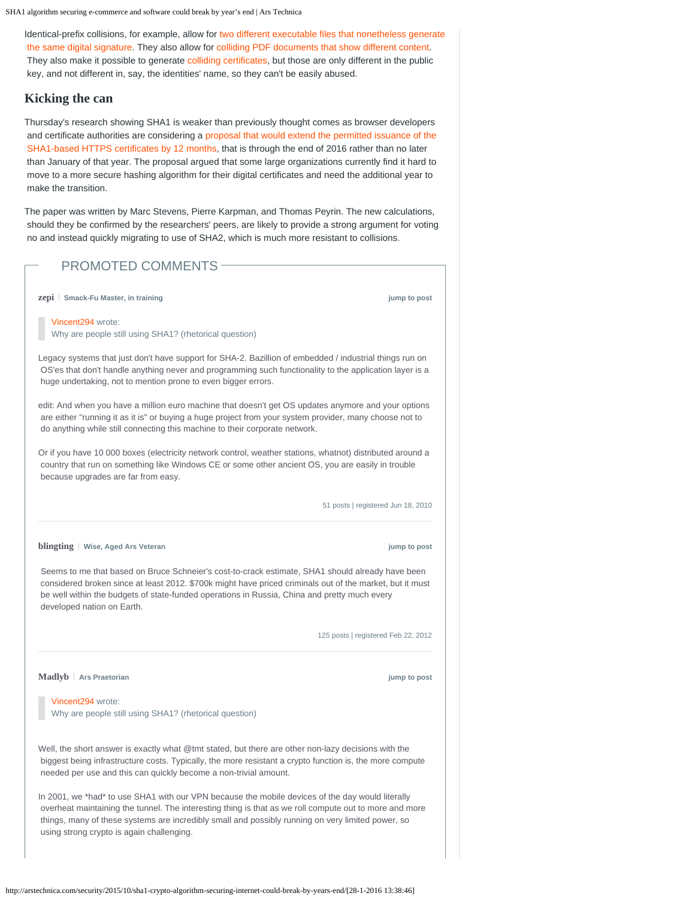SHA1 algorithm securing e-commerce and software could break by year's end | Ars Technica

Identical-prefix collisions, for example, allow for [two different executable files that nonetheless generate](http://www.mathstat.dal.ca/~selinger/md5collision/)  [the same digital signature.](http://www.mathstat.dal.ca/~selinger/md5collision/) They also allow for [colliding PDF documents that show different content](http://csrc.nist.gov/groups/ST/hash/documents/Illies_NIST_05.pdf). They also make it possible to generate [colliding certificates](https://www.win.tue.nl/~bdeweger/CollidingCertificates/), but those are only different in the public key, and not different in, say, the identities' name, so they can't be easily abused.

#### **Kicking the can**

Thursday's research showing SHA1 is weaker than previously thought comes as browser developers and certificate authorities are considering a [proposal that would extend the permitted issuance of the](https://cabforum.org/pipermail/public/2015-October/006048.html)  [SHA1-based HTTPS certificates by 12 months,](https://cabforum.org/pipermail/public/2015-October/006048.html) that is through the end of 2016 rather than no later than January of that year. The proposal argued that some large organizations currently find it hard to move to a more secure hashing algorithm for their digital certificates and need the additional year to make the transition.

The paper was written by Marc Stevens, Pierre Karpman, and Thomas Peyrin. The new calculations, should they be confirmed by the researchers' peers, are likely to provide a strong argument for voting no and instead quickly migrating to use of SHA2, which is much more resistant to collisions.

## PROMOTED COMMENTS [Vincent294](http://arstechnica.com/security/2015/10/sha1-crypto-algorithm-securing-internet-could-break-by-years-end/?comments=1&post=29901027) wrote: Why are people still using SHA1? (rhetorical question) Legacy systems that just don't have support for SHA-2. Bazillion of embedded / industrial things run on OS'es that don't handle anything never and programming such functionality to the application layer is a huge undertaking, not to mention prone to even bigger errors. edit: And when you have a million euro machine that doesn't get OS updates anymore and your options are either "running it as it is" or buying a huge project from your system provider, many choose not to do anything while still connecting this machine to their corporate network. Or if you have 10 000 boxes (electricity network control, weather stations, whatnot) distributed around a country that run on something like Windows CE or some other ancient OS, you are easily in trouble because upgrades are far from easy. 51 posts | registered Jun 18, 2010 **[zepi](http://arstechnica.com/civis/memberlist.php?mode=viewprofile&u=260775) Smack-Fu Master, in training** *jump* **to post** *jump* **to post** *jump* to post Seems to me that based on Bruce Schneier's cost-to-crack estimate, SHA1 should already have been considered broken since at least 2012. \$700k might have priced criminals out of the market, but it must be well within the budgets of state-funded operations in Russia, China and pretty much every developed nation on Earth. 125 posts | registered Feb 22, 2012 **[blingting](http://arstechnica.com/civis/memberlist.php?mode=viewprofile&u=330962)** | Wise, Aged Ars Veteran **blingting** | Wise, Aged Ars Veteran [Vincent294](http://arstechnica.com/security/2015/10/sha1-crypto-algorithm-securing-internet-could-break-by-years-end/?comments=1&post=29901027) wrote: Why are people still using SHA1? (rhetorical question) Well, the short answer is exactly what @tmt stated, but there are other non-lazy decisions with the biggest being infrastructure costs. Typically, the more resistant a crypto function is, the more compute needed per use and this can quickly become a non-trivial amount. In 2001, we \*had\* to use SHA1 with our VPN because the mobile devices of the day would literally overheat maintaining the tunnel. The interesting thing is that as we roll compute out to more and more things, many of these systems are incredibly small and possibly running on very limited power, so using strong crypto is again challenging. **[Madlyb](http://arstechnica.com/civis/memberlist.php?mode=viewprofile&u=204559) Ars Praetorian Arsis Praetorian Article 2012** *noise is a set of the post [jump to post](http://arstechnica.com/security/2015/10/sha1-crypto-algorithm-securing-internet-could-break-by-years-end/?comments=1&post=29901485#comment-29901485)*